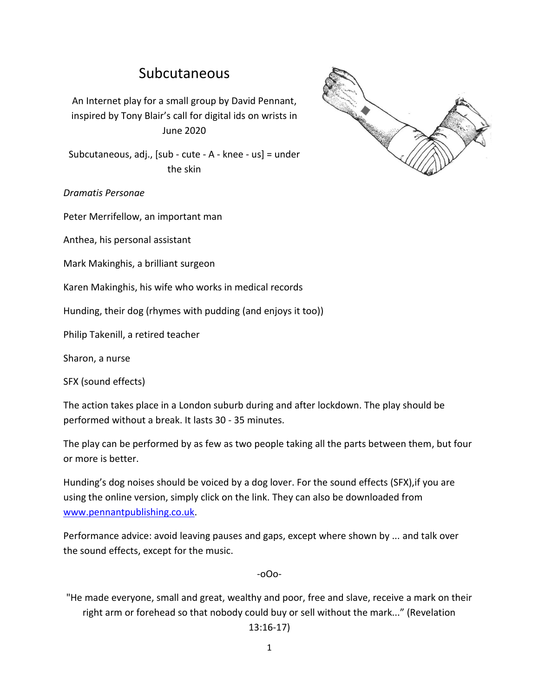# Subcutaneous

An Internet play for a small group by David Pennant, inspired by Tony Blair's call for digital ids on wrists in June 2020

Subcutaneous, adj., [sub - cute - A - knee - us] = under the skin



Peter Merrifellow, an important man

Anthea, his personal assistant

Mark Makinghis, a brilliant surgeon

Karen Makinghis, his wife who works in medical records

Hunding, their dog (rhymes with pudding (and enjoys it too))

Philip Takenill, a retired teacher

Sharon, a nurse

SFX (sound effects)

The action takes place in a London suburb during and after lockdown. The play should be performed without a break. It lasts 30 - 35 minutes.

The play can be performed by as few as two people taking all the parts between them, but four or more is better.

Hunding's dog noises should be voiced by a dog lover. For the sound effects (SFX),if you are using the online version, simply click on the link. They can also be downloaded from [www.pennantpublishing.co.uk.](http://www.pennantpublishing.co.uk/)

Performance advice: avoid leaving pauses and gaps, except where shown by ... and talk over the sound effects, except for the music.

-oOo-

"He made everyone, small and great, wealthy and poor, free and slave, receive a mark on their right arm or forehead so that nobody could buy or sell without the mark..." (Revelation

13:16-17)

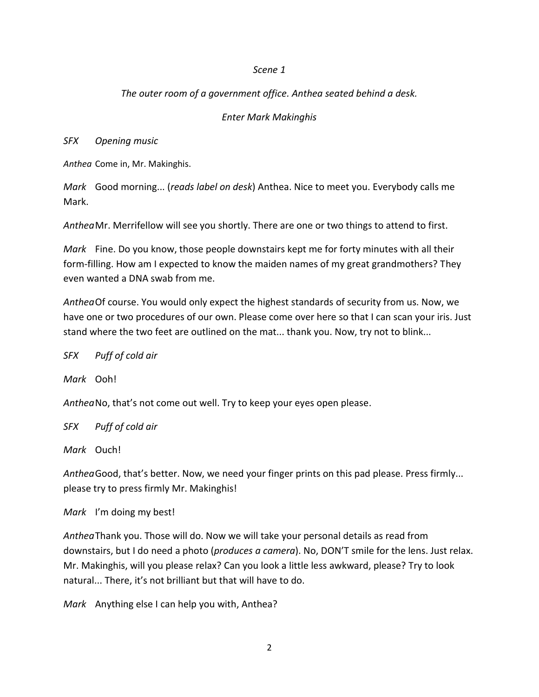#### *Scene 1*

## *The outer room of a government office. Anthea seated behind a desk.*

## *Enter Mark Makinghis*

*SFX Opening music*

*Anthea* Come in, Mr. Makinghis.

*Mark* Good morning... (*reads label on desk*) Anthea. Nice to meet you. Everybody calls me Mark.

*Anthea*Mr. Merrifellow will see you shortly. There are one or two things to attend to first.

*Mark* Fine. Do you know, those people downstairs kept me for forty minutes with all their form-filling. How am I expected to know the maiden names of my great grandmothers? They even wanted a DNA swab from me.

*Anthea*Of course. You would only expect the highest standards of security from us. Now, we have one or two procedures of our own. Please come over here so that I can scan your iris. Just stand where the two feet are outlined on the mat... thank you. Now, try not to blink...

*SFX Puff of cold air*

*Mark* Ooh!

*Anthea*No, that's not come out well. Try to keep your eyes open please.

*SFX Puff of cold air*

*Mark* Ouch!

*Anthea*Good, that's better. Now, we need your finger prints on this pad please. Press firmly... please try to press firmly Mr. Makinghis!

*Mark* I'm doing my best!

*Anthea*Thank you. Those will do. Now we will take your personal details as read from downstairs, but I do need a photo (*produces a camera*). No, DON'T smile for the lens. Just relax. Mr. Makinghis, will you please relax? Can you look a little less awkward, please? Try to look natural... There, it's not brilliant but that will have to do.

*Mark* Anything else I can help you with, Anthea?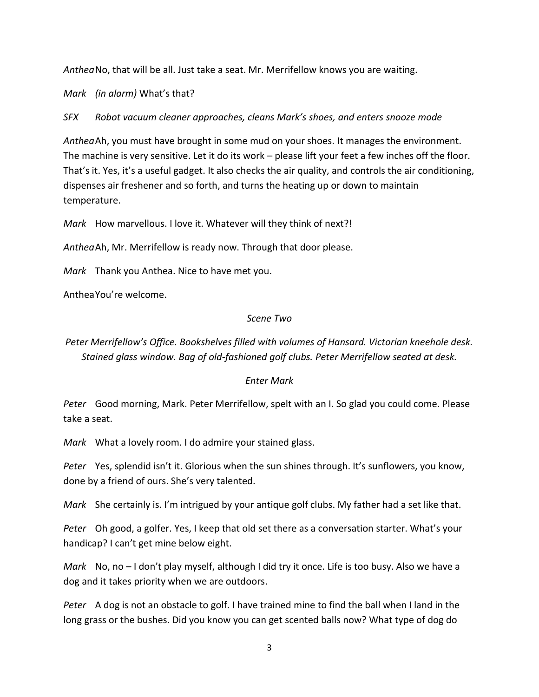*Anthea*No, that will be all. Just take a seat. Mr. Merrifellow knows you are waiting.

*Mark (in alarm)* What's that?

*SFX Robot vacuum cleaner approaches, cleans Mark's shoes, and enters snooze mode*

*Anthea*Ah, you must have brought in some mud on your shoes. It manages the environment. The machine is very sensitive. Let it do its work – please lift your feet a few inches off the floor. That's it. Yes, it's a useful gadget. It also checks the air quality, and controls the air conditioning, dispenses air freshener and so forth, and turns the heating up or down to maintain temperature.

*Mark* How marvellous. I love it. Whatever will they think of next?!

*Anthea*Ah, Mr. Merrifellow is ready now. Through that door please.

*Mark* Thank you Anthea. Nice to have met you.

AntheaYou're welcome.

## *Scene Two*

*Peter Merrifellow's Office. Bookshelves filled with volumes of Hansard. Victorian kneehole desk. Stained glass window. Bag of old-fashioned golf clubs. Peter Merrifellow seated at desk.*

## *Enter Mark*

*Peter* Good morning, Mark. Peter Merrifellow, spelt with an I. So glad you could come. Please take a seat.

*Mark* What a lovely room. I do admire your stained glass.

*Peter* Yes, splendid isn't it. Glorious when the sun shines through. It's sunflowers, you know, done by a friend of ours. She's very talented.

*Mark* She certainly is. I'm intrigued by your antique golf clubs. My father had a set like that.

*Peter* Oh good, a golfer. Yes, I keep that old set there as a conversation starter. What's your handicap? I can't get mine below eight.

*Mark* No, no – I don't play myself, although I did try it once. Life is too busy. Also we have a dog and it takes priority when we are outdoors.

*Peter* A dog is not an obstacle to golf. I have trained mine to find the ball when I land in the long grass or the bushes. Did you know you can get scented balls now? What type of dog do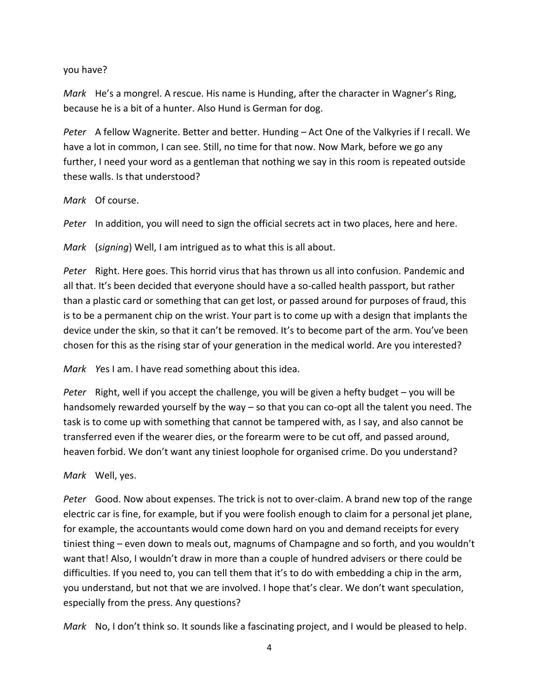## you have?

*Mark* He's a mongrel. A rescue. His name is Hunding, after the character in Wagner's Ring, because he is a bit of a hunter. Also Hund is German for dog.

*Peter* A fellow Wagnerite. Better and better. Hunding – Act One of the Valkyries if I recall. We have a lot in common, I can see. Still, no time for that now. Now Mark, before we go any further, I need your word as a gentleman that nothing we say in this room is repeated outside these walls. Is that understood?

#### *Mark* Of course.

*Peter* In addition, you will need to sign the official secrets act in two places, here and here.

*Mark* (*signing*) Well, I am intrigued as to what this is all about.

*Peter* Right. Here goes. This horrid virus that has thrown us all into confusion. Pandemic and all that. It's been decided that everyone should have a so-called health passport, but rather than a plastic card or something that can get lost, or passed around for purposes of fraud, this is to be a permanent chip on the wrist. Your part is to come up with a design that implants the device under the skin, so that it can't be removed. It's to become part of the arm. You've been chosen for this as the rising star of your generation in the medical world. Are you interested?

*Mark Y*es I am. I have read something about this idea.

*Peter* Right, well if you accept the challenge, you will be given a hefty budget – you will be handsomely rewarded yourself by the way – so that you can co-opt all the talent you need. The task is to come up with something that cannot be tampered with, as I say, and also cannot be transferred even if the wearer dies, or the forearm were to be cut off, and passed around, heaven forbid. We don't want any tiniest loophole for organised crime. Do you understand?

## *Mark* Well, yes.

*Peter* Good. Now about expenses. The trick is not to over-claim. A brand new top of the range electric car is fine, for example, but if you were foolish enough to claim for a personal jet plane, for example, the accountants would come down hard on you and demand receipts for every tiniest thing – even down to meals out, magnums of Champagne and so forth, and you wouldn't want that! Also, I wouldn't draw in more than a couple of hundred advisers or there could be difficulties. If you need to, you can tell them that it's to do with embedding a chip in the arm, you understand, but not that we are involved. I hope that's clear. We don't want speculation, especially from the press. Any questions?

*Mark* No, I don't think so. It sounds like a fascinating project, and I would be pleased to help.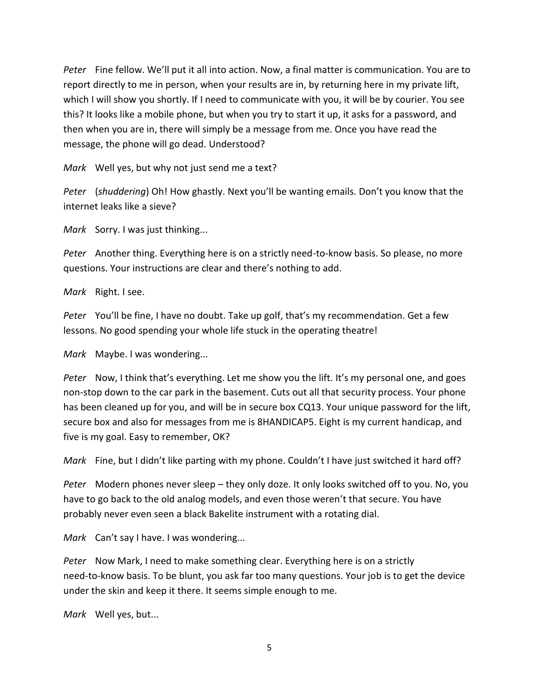*Peter* Fine fellow. We'll put it all into action. Now, a final matter is communication. You are to report directly to me in person, when your results are in, by returning here in my private lift, which I will show you shortly. If I need to communicate with you, it will be by courier. You see this? It looks like a mobile phone, but when you try to start it up, it asks for a password, and then when you are in, there will simply be a message from me. Once you have read the message, the phone will go dead. Understood?

*Mark* Well yes, but why not just send me a text?

*Peter* (*shuddering*) Oh! How ghastly. Next you'll be wanting emails. Don't you know that the internet leaks like a sieve?

*Mark* Sorry. I was just thinking...

*Peter* Another thing. Everything here is on a strictly need-to-know basis. So please, no more questions. Your instructions are clear and there's nothing to add.

*Mark* Right. I see.

*Peter* You'll be fine, I have no doubt. Take up golf, that's my recommendation. Get a few lessons. No good spending your whole life stuck in the operating theatre!

*Mark* Maybe. I was wondering...

*Peter* Now, I think that's everything. Let me show you the lift. It's my personal one, and goes non-stop down to the car park in the basement. Cuts out all that security process. Your phone has been cleaned up for you, and will be in secure box CQ13. Your unique password for the lift, secure box and also for messages from me is 8HANDICAP5. Eight is my current handicap, and five is my goal. Easy to remember, OK?

*Mark* Fine, but I didn't like parting with my phone. Couldn't I have just switched it hard off?

*Peter* Modern phones never sleep – they only doze. It only looks switched off to you. No, you have to go back to the old analog models, and even those weren't that secure. You have probably never even seen a black Bakelite instrument with a rotating dial.

*Mark* Can't say I have. I was wondering...

*Peter* Now Mark, I need to make something clear. Everything here is on a strictly need-to-know basis. To be blunt, you ask far too many questions. Your job is to get the device under the skin and keep it there. It seems simple enough to me.

*Mark* Well yes, but...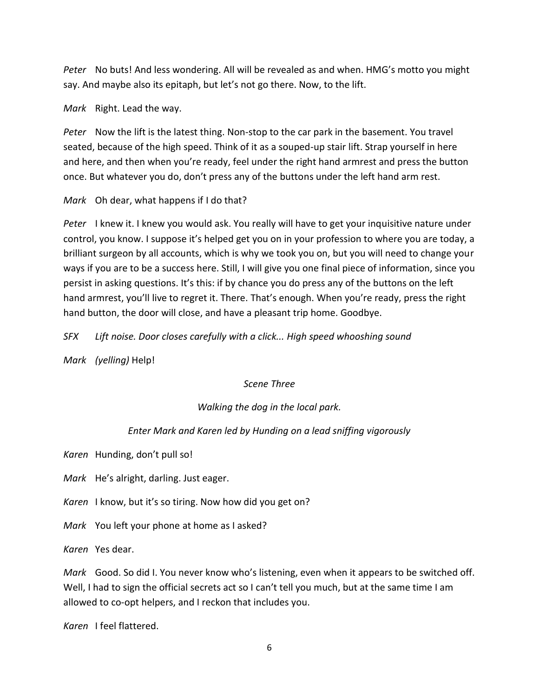*Peter* No buts! And less wondering. All will be revealed as and when. HMG's motto you might say. And maybe also its epitaph, but let's not go there. Now, to the lift.

*Mark* Right. Lead the way.

*Peter* Now the lift is the latest thing. Non-stop to the car park in the basement. You travel seated, because of the high speed. Think of it as a souped-up stair lift. Strap yourself in here and here, and then when you're ready, feel under the right hand armrest and press the button once. But whatever you do, don't press any of the buttons under the left hand arm rest.

*Mark* Oh dear, what happens if I do that?

*Peter* I knew it. I knew you would ask. You really will have to get your inquisitive nature under control, you know. I suppose it's helped get you on in your profession to where you are today, a brilliant surgeon by all accounts, which is why we took you on, but you will need to change your ways if you are to be a success here. Still, I will give you one final piece of information, since you persist in asking questions. It's this: if by chance you do press any of the buttons on the left hand armrest, you'll live to regret it. There. That's enough. When you're ready, press the right hand button, the door will close, and have a pleasant trip home. Goodbye.

*SFX Lift noise. Door closes carefully with a click... High speed whooshing sound*

*Mark (yelling)* Help!

*Scene Three*

# *Walking the dog in the local park.*

# *Enter Mark and Karen led by Hunding on a lead sniffing vigorously*

*Karen* Hunding, don't pull so!

*Mark* He's alright, darling. Just eager.

*Karen* I know, but it's so tiring. Now how did you get on?

*Mark* You left your phone at home as I asked?

*Karen* Yes dear.

*Mark* Good. So did I. You never know who's listening, even when it appears to be switched off. Well, I had to sign the official secrets act so I can't tell you much, but at the same time I am allowed to co-opt helpers, and I reckon that includes you.

*Karen* I feel flattered.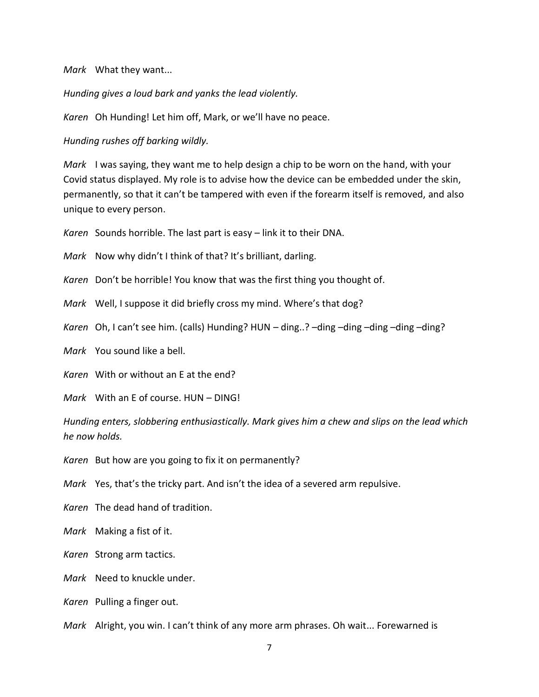*Mark* What they want...

*Hunding gives a loud bark and yanks the lead violently.*

*Karen* Oh Hunding! Let him off, Mark, or we'll have no peace.

*Hunding rushes off barking wildly.*

*Mark* I was saying, they want me to help design a chip to be worn on the hand, with your Covid status displayed. My role is to advise how the device can be embedded under the skin, permanently, so that it can't be tampered with even if the forearm itself is removed, and also unique to every person.

*Karen* Sounds horrible. The last part is easy – link it to their DNA.

*Mark* Now why didn't I think of that? It's brilliant, darling.

*Karen* Don't be horrible! You know that was the first thing you thought of.

*Mark* Well, I suppose it did briefly cross my mind. Where's that dog?

*Karen* Oh, I can't see him. (calls) Hunding? HUN – ding..? –ding –ding –ding –ding –ding?

*Mark* You sound like a bell.

*Karen* With or without an E at the end?

*Mark* With an E of course. HUN – DING!

*Hunding enters, slobbering enthusiastically. Mark gives him a chew and slips on the lead which he now holds.*

*Karen* But how are you going to fix it on permanently?

*Mark* Yes, that's the tricky part. And isn't the idea of a severed arm repulsive.

*Karen* The dead hand of tradition.

*Mark* Making a fist of it.

*Karen* Strong arm tactics.

*Mark* Need to knuckle under.

*Karen* Pulling a finger out.

*Mark* Alright, you win. I can't think of any more arm phrases. Oh wait... Forewarned is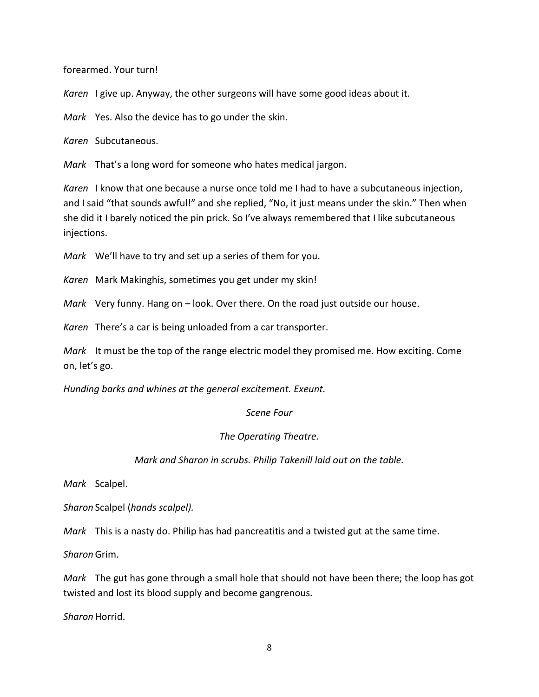forearmed. Your turn!

*Karen* I give up. Anyway, the other surgeons will have some good ideas about it.

*Mark* Yes. Also the device has to go under the skin.

*Karen* Subcutaneous.

*Mark* That's a long word for someone who hates medical jargon.

*Karen* I know that one because a nurse once told me I had to have a subcutaneous injection, and I said "that sounds awful!" and she replied, "No, it just means under the skin." Then when she did it I barely noticed the pin prick. So I've always remembered that I like subcutaneous injections.

*Mark* We'll have to try and set up a series of them for you.

*Karen* Mark Makinghis, sometimes you get under my skin!

*Mark* Very funny. Hang on – look. Over there. On the road just outside our house.

*Karen* There's a car is being unloaded from a car transporter.

*Mark* It must be the top of the range electric model they promised me. How exciting. Come on, let's go.

*Hunding barks and whines at the general excitement. Exeunt.*

## *Scene Four*

## *The Operating Theatre.*

## *Mark and Sharon in scrubs. Philip Takenill laid out on the table.*

*Mark* Scalpel.

*Sharon* Scalpel (*hands scalpel).*

*Mark* This is a nasty do. Philip has had pancreatitis and a twisted gut at the same time.

*Sharon*Grim.

*Mark* The gut has gone through a small hole that should not have been there; the loop has got twisted and lost its blood supply and become gangrenous.

*Sharon* Horrid.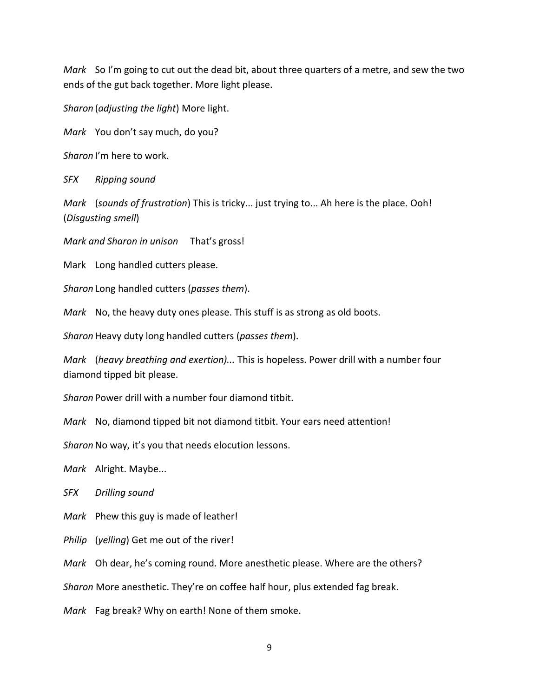*Mark* So I'm going to cut out the dead bit, about three quarters of a metre, and sew the two ends of the gut back together. More light please.

*Sharon* (*adjusting the light*) More light.

*Mark* You don't say much, do you?

*Sharon* I'm here to work.

*SFX Ripping sound*

*Mark* (*sounds of frustration*) This is tricky... just trying to... Ah here is the place. Ooh! (*Disgusting smell*)

*Mark and Sharon in unison* That's gross!

Mark Long handled cutters please.

*Sharon* Long handled cutters (*passes them*).

*Mark* No, the heavy duty ones please. This stuff is as strong as old boots.

*Sharon* Heavy duty long handled cutters (*passes them*).

*Mark* (*heavy breathing and exertion)...* This is hopeless. Power drill with a number four diamond tipped bit please.

*Sharon* Power drill with a number four diamond titbit.

*Mark* No, diamond tipped bit not diamond titbit. Your ears need attention!

Sharon No way, it's you that needs elocution lessons.

*Mark* Alright. Maybe...

*SFX Drilling sound*

*Mark* Phew this guy is made of leather!

*Philip* (*yelling*) Get me out of the river!

*Mark* Oh dear, he's coming round. More anesthetic please. Where are the others?

*Sharon* More anesthetic. They're on coffee half hour, plus extended fag break.

*Mark* Fag break? Why on earth! None of them smoke.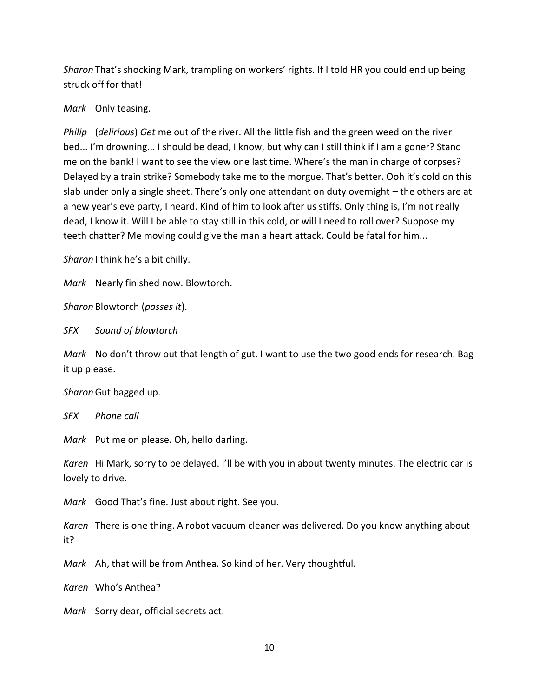*Sharon* That's shocking Mark, trampling on workers' rights. If I told HR you could end up being struck off for that!

*Mark* Only teasing.

*Philip* (*delirious*) *Get* me out of the river. All the little fish and the green weed on the river bed... I'm drowning... I should be dead, I know, but why can I still think if I am a goner? Stand me on the bank! I want to see the view one last time. Where's the man in charge of corpses? Delayed by a train strike? Somebody take me to the morgue. That's better. Ooh it's cold on this slab under only a single sheet. There's only one attendant on duty overnight – the others are at a new year's eve party, I heard. Kind of him to look after us stiffs. Only thing is, I'm not really dead, I know it. Will I be able to stay still in this cold, or will I need to roll over? Suppose my teeth chatter? Me moving could give the man a heart attack. Could be fatal for him...

*Sharon* I think he's a bit chilly.

*Mark* Nearly finished now. Blowtorch.

*Sharon* Blowtorch (*passes it*).

*SFX Sound of blowtorch*

*Mark* No don't throw out that length of gut. I want to use the two good ends for research. Bag it up please.

*Sharon*Gut bagged up.

*SFX Phone call*

*Mark* Put me on please. Oh, hello darling.

*Karen* Hi Mark, sorry to be delayed. I'll be with you in about twenty minutes. The electric car is lovely to drive.

*Mark* Good That's fine. Just about right. See you.

*Karen* There is one thing. A robot vacuum cleaner was delivered. Do you know anything about it?

*Mark* Ah, that will be from Anthea. So kind of her. Very thoughtful.

*Karen* Who's Anthea?

*Mark* Sorry dear, official secrets act.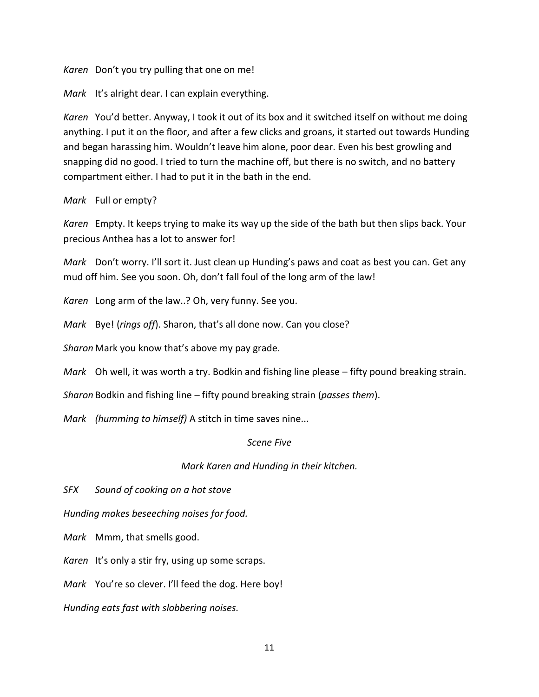*Karen* Don't you try pulling that one on me!

*Mark* It's alright dear. I can explain everything.

*Karen* You'd better. Anyway, I took it out of its box and it switched itself on without me doing anything. I put it on the floor, and after a few clicks and groans, it started out towards Hunding and began harassing him. Wouldn't leave him alone, poor dear. Even his best growling and snapping did no good. I tried to turn the machine off, but there is no switch, and no battery compartment either. I had to put it in the bath in the end.

## *Mark* Full or empty?

*Karen* Empty. It keeps trying to make its way up the side of the bath but then slips back. Your precious Anthea has a lot to answer for!

*Mark* Don't worry. I'll sort it. Just clean up Hunding's paws and coat as best you can. Get any mud off him. See you soon. Oh, don't fall foul of the long arm of the law!

*Karen* Long arm of the law..? Oh, very funny. See you.

*Mark* Bye! (*rings off*). Sharon, that's all done now. Can you close?

*Sharon* Mark you know that's above my pay grade.

*Mark* Oh well, it was worth a try. Bodkin and fishing line please – fifty pound breaking strain.

*Sharon* Bodkin and fishing line – fifty pound breaking strain (*passes them*).

*Mark (humming to himself)* A stitch in time saves nine...

## *Scene Five*

## *Mark Karen and Hunding in their kitchen.*

*SFX Sound of cooking on a hot stove*

*Hunding makes beseeching noises for food.*

*Mark* Mmm, that smells good.

*Karen* It's only a stir fry, using up some scraps.

*Mark* You're so clever. I'll feed the dog. Here boy!

*Hunding eats fast with slobbering noises.*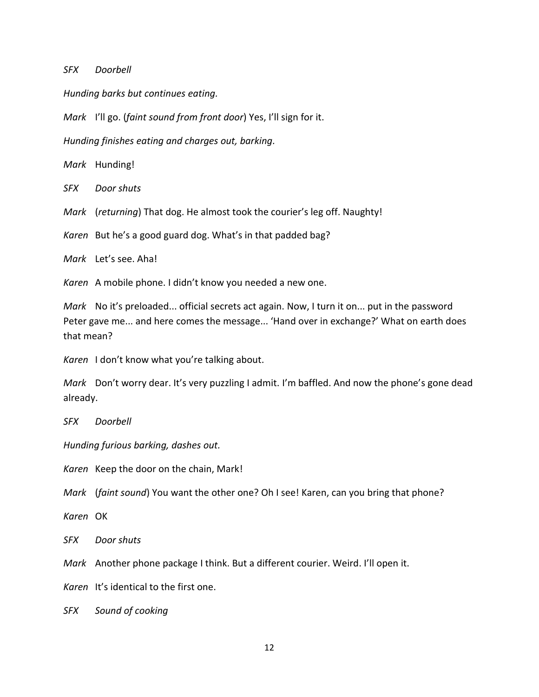*SFX Doorbell*

*Hunding barks but continues eating.*

*Mark* I'll go. (*faint sound from front door*) Yes, I'll sign for it.

*Hunding finishes eating and charges out, barking.*

*Mark* Hunding!

*SFX Door shuts*

*Mark* (*returning*) That dog. He almost took the courier's leg off. Naughty!

*Karen* But he's a good guard dog. What's in that padded bag?

*Mark* Let's see. Aha!

*Karen* A mobile phone. I didn't know you needed a new one.

*Mark* No it's preloaded... official secrets act again. Now, I turn it on... put in the password Peter gave me... and here comes the message... 'Hand over in exchange?' What on earth does that mean?

*Karen* I don't know what you're talking about.

*Mark* Don't worry dear. It's very puzzling I admit. I'm baffled. And now the phone's gone dead already.

*SFX Doorbell*

*Hunding furious barking, dashes out.*

*Karen* Keep the door on the chain, Mark!

*Mark* (*faint sound*) You want the other one? Oh I see! Karen, can you bring that phone?

*Karen* OK

*SFX Door shuts*

*Mark* Another phone package I think. But a different courier. Weird. I'll open it.

*Karen* It's identical to the first one.

*SFX Sound of cooking*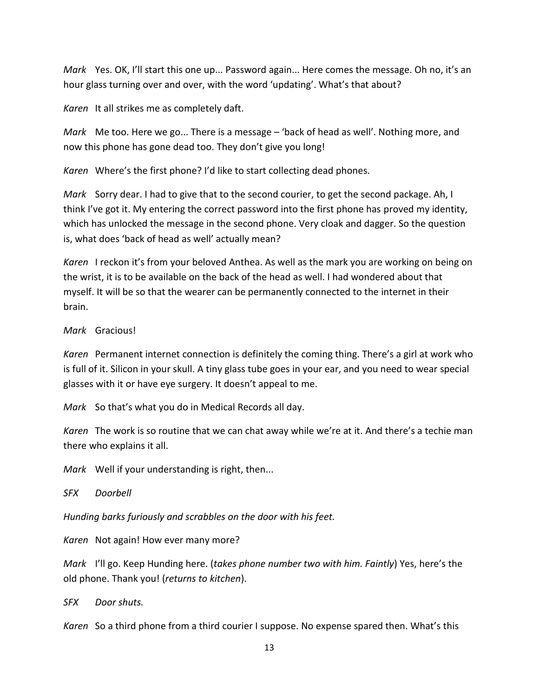*Mark* Yes. OK, I'll start this one up... Password again... Here comes the message. Oh no, it's an hour glass turning over and over, with the word 'updating'. What's that about?

*Karen* It all strikes me as completely daft.

*Mark* Me too. Here we go... There is a message – 'back of head as well'. Nothing more, and now this phone has gone dead too. They don't give you long!

*Karen* Where's the first phone? I'd like to start collecting dead phones.

*Mark* Sorry dear. I had to give that to the second courier, to get the second package. Ah, I think I've got it. My entering the correct password into the first phone has proved my identity, which has unlocked the message in the second phone. Very cloak and dagger. So the question is, what does 'back of head as well' actually mean?

*Karen* I reckon it's from your beloved Anthea. As well as the mark you are working on being on the wrist, it is to be available on the back of the head as well. I had wondered about that myself. It will be so that the wearer can be permanently connected to the internet in their brain.

*Mark* Gracious!

*Karen* Permanent internet connection is definitely the coming thing. There's a girl at work who is full of it. Silicon in your skull. A tiny glass tube goes in your ear, and you need to wear special glasses with it or have eye surgery. It doesn't appeal to me.

*Mark* So that's what you do in Medical Records all day.

*Karen* The work is so routine that we can chat away while we're at it. And there's a techie man there who explains it all.

*Mark* Well if your understanding is right, then...

*SFX Doorbell*

*Hunding barks furiously and scrabbles on the door with his feet.*

*Karen* Not again! How ever many more?

*Mark* I'll go. Keep Hunding here. (*takes phone number two with him. Faintly*) Yes, here's the old phone. Thank you! (*returns to kitchen*).

*SFX Door shuts.* 

*Karen* So a third phone from a third courier I suppose. No expense spared then. What's this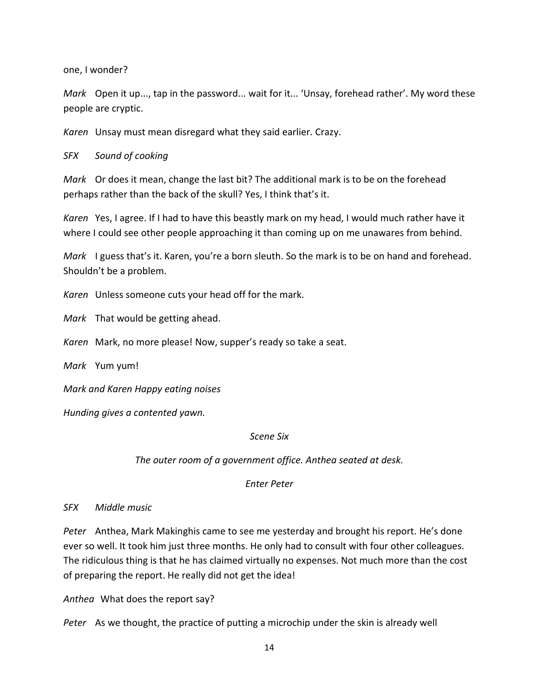one, I wonder?

*Mark* Open it up..., tap in the password... wait for it... 'Unsay, forehead rather'. My word these people are cryptic.

*Karen* Unsay must mean disregard what they said earlier. Crazy.

## *SFX Sound of cooking*

*Mark* Or does it mean, change the last bit? The additional mark is to be on the forehead perhaps rather than the back of the skull? Yes, I think that's it.

*Karen* Yes, I agree. If I had to have this beastly mark on my head, I would much rather have it where I could see other people approaching it than coming up on me unawares from behind.

*Mark* I guess that's it. Karen, you're a born sleuth. So the mark is to be on hand and forehead. Shouldn't be a problem.

*Karen* Unless someone cuts your head off for the mark.

*Mark* That would be getting ahead.

*Karen* Mark, no more please! Now, supper's ready so take a seat.

*Mark* Yum yum!

*Mark and Karen Happy eating noises*

*Hunding gives a contented yawn.*

## *Scene Six*

*The outer room of a government office. Anthea seated at desk.*

*Enter Peter*

*SFX Middle music*

*Peter* Anthea, Mark Makinghis came to see me yesterday and brought his report. He's done ever so well. It took him just three months. He only had to consult with four other colleagues. The ridiculous thing is that he has claimed virtually no expenses. Not much more than the cost of preparing the report. He really did not get the idea!

*Anthea* What does the report say?

*Peter* As we thought, the practice of putting a microchip under the skin is already well

14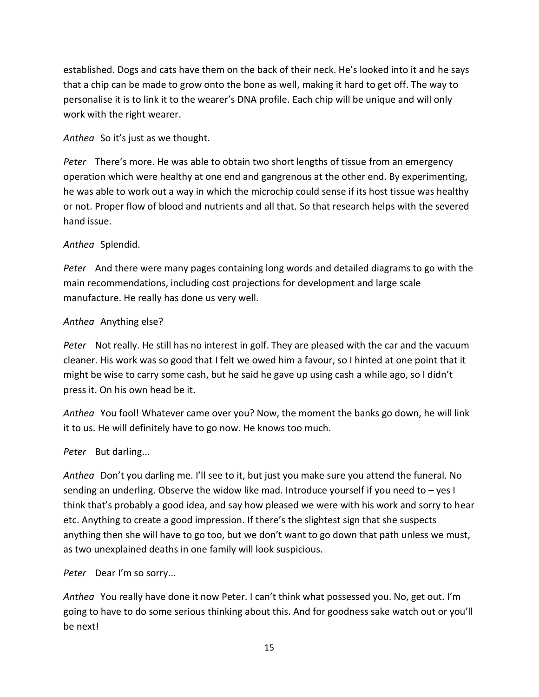established. Dogs and cats have them on the back of their neck. He's looked into it and he says that a chip can be made to grow onto the bone as well, making it hard to get off. The way to personalise it is to link it to the wearer's DNA profile. Each chip will be unique and will only work with the right wearer.

*Anthea* So it's just as we thought.

*Peter* There's more. He was able to obtain two short lengths of tissue from an emergency operation which were healthy at one end and gangrenous at the other end. By experimenting, he was able to work out a way in which the microchip could sense if its host tissue was healthy or not. Proper flow of blood and nutrients and all that. So that research helps with the severed hand issue.

# *Anthea* Splendid.

*Peter* And there were many pages containing long words and detailed diagrams to go with the main recommendations, including cost projections for development and large scale manufacture. He really has done us very well.

# *Anthea* Anything else?

*Peter* Not really. He still has no interest in golf. They are pleased with the car and the vacuum cleaner. His work was so good that I felt we owed him a favour, so I hinted at one point that it might be wise to carry some cash, but he said he gave up using cash a while ago, so I didn't press it. On his own head be it.

*Anthea* You fool! Whatever came over you? Now, the moment the banks go down, he will link it to us. He will definitely have to go now. He knows too much.

# *Peter* But darling...

*Anthea* Don't you darling me. I'll see to it, but just you make sure you attend the funeral. No sending an underling. Observe the widow like mad. Introduce yourself if you need to – yes I think that's probably a good idea, and say how pleased we were with his work and sorry to hear etc. Anything to create a good impression. If there's the slightest sign that she suspects anything then she will have to go too, but we don't want to go down that path unless we must, as two unexplained deaths in one family will look suspicious.

*Peter* Dear I'm so sorry...

*Anthea* You really have done it now Peter. I can't think what possessed you. No, get out. I'm going to have to do some serious thinking about this. And for goodness sake watch out or you'll be next!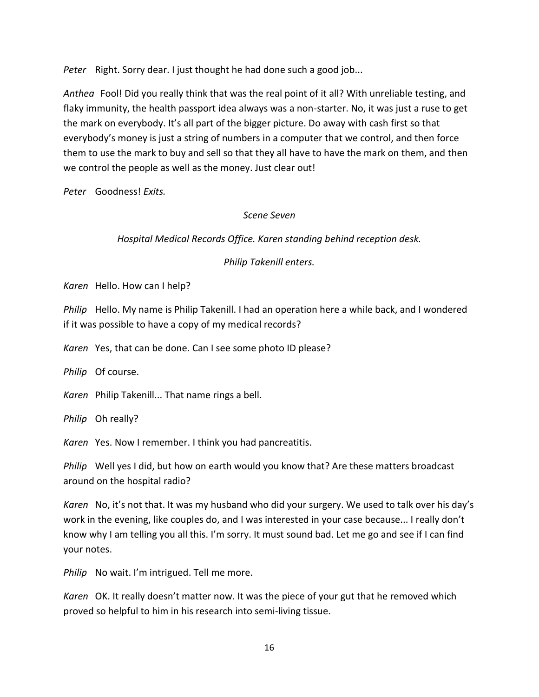*Peter* Right. Sorry dear. I just thought he had done such a good job...

*Anthea* Fool! Did you really think that was the real point of it all? With unreliable testing, and flaky immunity, the health passport idea always was a non-starter. No, it was just a ruse to get the mark on everybody. It's all part of the bigger picture. Do away with cash first so that everybody's money is just a string of numbers in a computer that we control, and then force them to use the mark to buy and sell so that they all have to have the mark on them, and then we control the people as well as the money. Just clear out!

*Peter* Goodness! *Exits.*

## *Scene Seven*

## *Hospital Medical Records Office. Karen standing behind reception desk.*

## *Philip Takenill enters.*

*Karen* Hello. How can I help?

*Philip* Hello. My name is Philip Takenill. I had an operation here a while back, and I wondered if it was possible to have a copy of my medical records?

*Karen* Yes, that can be done. Can I see some photo ID please?

*Philip* Of course.

*Karen* Philip Takenill... That name rings a bell.

*Philip* Oh really?

*Karen* Yes. Now I remember. I think you had pancreatitis.

*Philip* Well yes I did, but how on earth would you know that? Are these matters broadcast around on the hospital radio?

*Karen* No, it's not that. It was my husband who did your surgery. We used to talk over his day's work in the evening, like couples do, and I was interested in your case because... I really don't know why I am telling you all this. I'm sorry. It must sound bad. Let me go and see if I can find your notes.

*Philip* No wait. I'm intrigued. Tell me more.

*Karen* OK. It really doesn't matter now. It was the piece of your gut that he removed which proved so helpful to him in his research into semi-living tissue.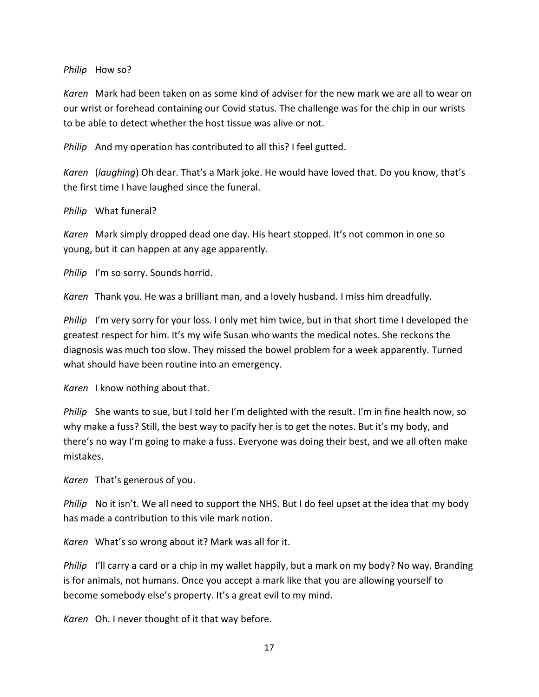#### *Philip* How so?

*Karen* Mark had been taken on as some kind of adviser for the new mark we are all to wear on our wrist or forehead containing our Covid status. The challenge was for the chip in our wrists to be able to detect whether the host tissue was alive or not.

*Philip* And my operation has contributed to all this? I feel gutted.

*Karen* (*laughing*) Oh dear. That's a Mark joke. He would have loved that. Do you know, that's the first time I have laughed since the funeral.

## *Philip* What funeral?

*Karen* Mark simply dropped dead one day. His heart stopped. It's not common in one so young, but it can happen at any age apparently.

*Philip* I'm so sorry. Sounds horrid.

*Karen* Thank you. He was a brilliant man, and a lovely husband. I miss him dreadfully.

*Philip* I'm very sorry for your loss. I only met him twice, but in that short time I developed the greatest respect for him. It's my wife Susan who wants the medical notes. She reckons the diagnosis was much too slow. They missed the bowel problem for a week apparently. Turned what should have been routine into an emergency.

*Karen* I know nothing about that.

*Philip* She wants to sue, but I told her I'm delighted with the result. I'm in fine health now, so why make a fuss? Still, the best way to pacify her is to get the notes. But it's my body, and there's no way I'm going to make a fuss. Everyone was doing their best, and we all often make mistakes.

*Karen* That's generous of you.

*Philip* No it isn't. We all need to support the NHS. But I do feel upset at the idea that my body has made a contribution to this vile mark notion.

*Karen* What's so wrong about it? Mark was all for it.

*Philip* I'll carry a card or a chip in my wallet happily, but a mark on my body? No way. Branding is for animals, not humans. Once you accept a mark like that you are allowing yourself to become somebody else's property. It's a great evil to my mind.

*Karen* Oh. I never thought of it that way before.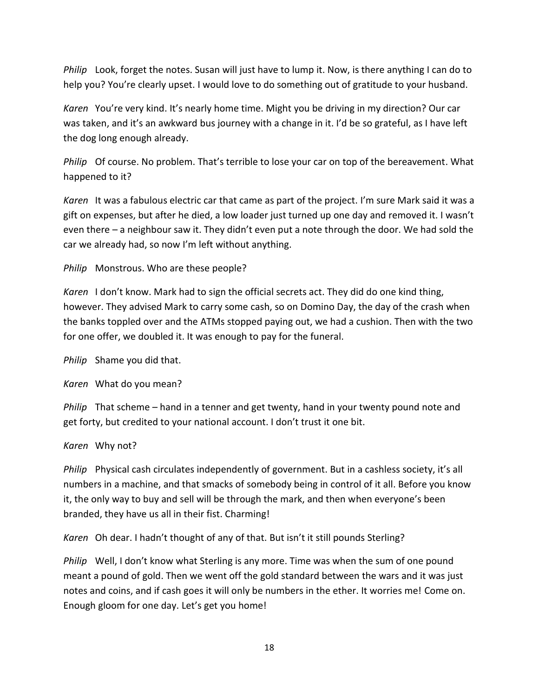*Philip* Look, forget the notes. Susan will just have to lump it. Now, is there anything I can do to help you? You're clearly upset. I would love to do something out of gratitude to your husband.

*Karen* You're very kind. It's nearly home time. Might you be driving in my direction? Our car was taken, and it's an awkward bus journey with a change in it. I'd be so grateful, as I have left the dog long enough already.

*Philip* Of course. No problem. That's terrible to lose your car on top of the bereavement. What happened to it?

*Karen* It was a fabulous electric car that came as part of the project. I'm sure Mark said it was a gift on expenses, but after he died, a low loader just turned up one day and removed it. I wasn't even there – a neighbour saw it. They didn't even put a note through the door. We had sold the car we already had, so now I'm left without anything.

*Philip* Monstrous. Who are these people?

*Karen* I don't know. Mark had to sign the official secrets act. They did do one kind thing, however. They advised Mark to carry some cash, so on Domino Day, the day of the crash when the banks toppled over and the ATMs stopped paying out, we had a cushion. Then with the two for one offer, we doubled it. It was enough to pay for the funeral.

*Philip* Shame you did that.

*Karen* What do you mean?

*Philip* That scheme – hand in a tenner and get twenty, hand in your twenty pound note and get forty, but credited to your national account. I don't trust it one bit.

*Karen* Why not?

*Philip* Physical cash circulates independently of government. But in a cashless society, it's all numbers in a machine, and that smacks of somebody being in control of it all. Before you know it, the only way to buy and sell will be through the mark, and then when everyone's been branded, they have us all in their fist. Charming!

*Karen* Oh dear. I hadn't thought of any of that. But isn't it still pounds Sterling?

*Philip* Well, I don't know what Sterling is any more. Time was when the sum of one pound meant a pound of gold. Then we went off the gold standard between the wars and it was just notes and coins, and if cash goes it will only be numbers in the ether. It worries me! Come on. Enough gloom for one day. Let's get you home!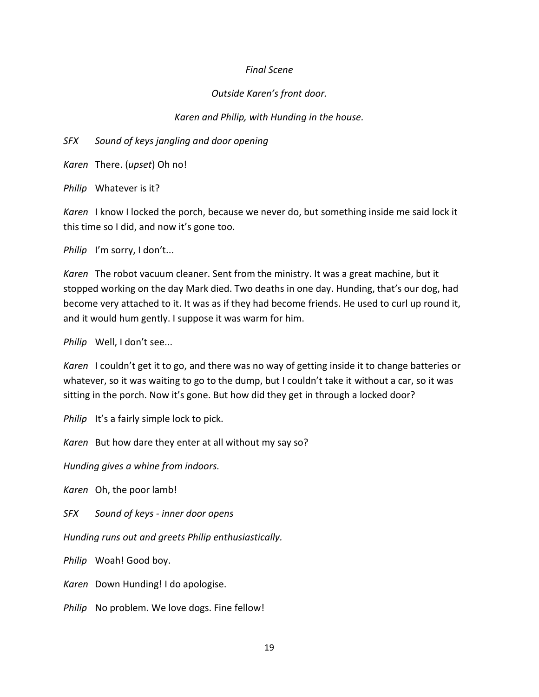#### *Final Scene*

#### *Outside Karen's front door.*

#### *Karen and Philip, with Hunding in the house.*

*SFX Sound of keys jangling and door opening*

*Karen* There. (*upset*) Oh no!

*Philip* Whatever is it?

*Karen* I know I locked the porch, because we never do, but something inside me said lock it this time so I did, and now it's gone too.

*Philip* I'm sorry, I don't...

*Karen* The robot vacuum cleaner. Sent from the ministry. It was a great machine, but it stopped working on the day Mark died. Two deaths in one day. Hunding, that's our dog, had become very attached to it. It was as if they had become friends. He used to curl up round it, and it would hum gently. I suppose it was warm for him.

*Philip* Well, I don't see...

*Karen* I couldn't get it to go, and there was no way of getting inside it to change batteries or whatever, so it was waiting to go to the dump, but I couldn't take it without a car, so it was sitting in the porch. Now it's gone. But how did they get in through a locked door?

*Philip* It's a fairly simple lock to pick.

*Karen* But how dare they enter at all without my say so?

*Hunding gives a whine from indoors.*

*Karen* Oh, the poor lamb!

*SFX Sound of keys - inner door opens*

*Hunding runs out and greets Philip enthusiastically.*

*Philip* Woah! Good boy.

*Karen* Down Hunding! I do apologise.

*Philip* No problem. We love dogs. Fine fellow!